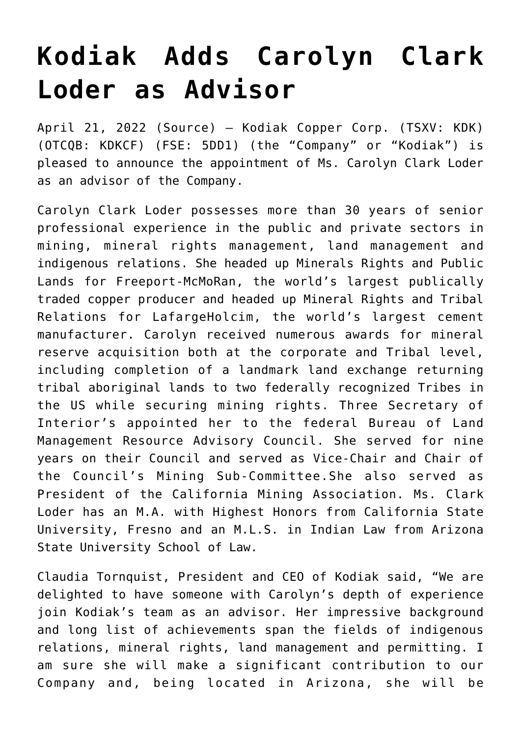## **[Kodiak Adds Carolyn Clark](https://investorintel.com/markets/technology-metals/technology-metals-news/kodiak-adds-carolyn-clark-loder-as-advisor/) [Loder as Advisor](https://investorintel.com/markets/technology-metals/technology-metals-news/kodiak-adds-carolyn-clark-loder-as-advisor/)**

April 21, 2022 ([Source\)](https://www.newsfilecorp.com/release/121087/Kodiak-Adds-Carolyn-Clark-Loder-as-Advisor) – Kodiak Copper Corp. (TSXV: KDK) (OTCQB: KDKCF) (FSE: 5DD1) (the "Company" or "Kodiak") is pleased to announce the appointment of Ms. Carolyn Clark Loder as an advisor of the Company.

Carolyn Clark Loder possesses more than 30 years of senior professional experience in the public and private sectors in mining, mineral rights management, land management and indigenous relations. She headed up Minerals Rights and Public Lands for Freeport-McMoRan, the world's largest publically traded copper producer and headed up Mineral Rights and Tribal Relations for LafargeHolcim, the world's largest cement manufacturer. Carolyn received numerous awards for mineral reserve acquisition both at the corporate and Tribal level, including completion of a landmark land exchange returning tribal aboriginal lands to two federally recognized Tribes in the US while securing mining rights. Three Secretary of Interior's appointed her to the federal Bureau of Land Management Resource Advisory Council. She served for nine years on their Council and served as Vice-Chair and Chair of the Council's Mining Sub-Committee.She also served as President of the California Mining Association. Ms. Clark Loder has an M.A. with Highest Honors from California State University, Fresno and an M.L.S. in Indian Law from Arizona State University School of Law.

Claudia Tornquist, President and CEO of Kodiak said, "We are delighted to have someone with Carolyn's depth of experience join Kodiak's team as an advisor. Her impressive background and long list of achievements span the fields of indigenous relations, mineral rights, land management and permitting. I am sure she will make a significant contribution to our Company and, being located in Arizona, she will be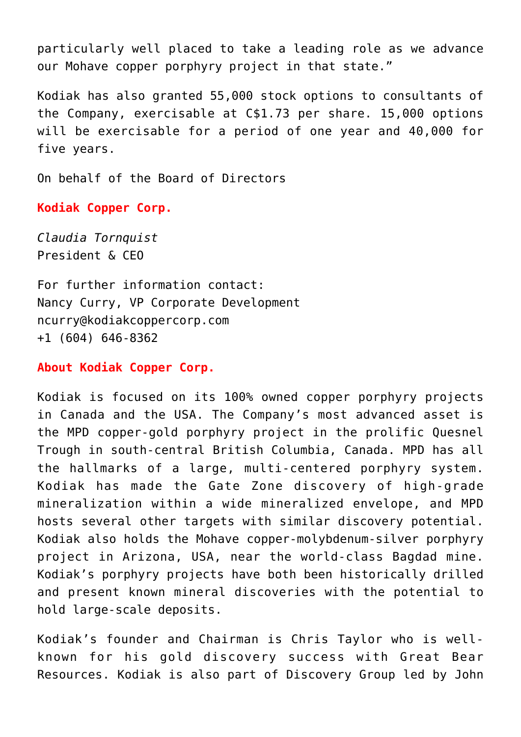particularly well placed to take a leading role as we advance our Mohave copper porphyry project in that state."

Kodiak has also granted 55,000 stock options to consultants of the Company, exercisable at C\$1.73 per share. 15,000 options will be exercisable for a period of one year and 40,000 for five years.

On behalf of the Board of Directors

**Kodiak Copper Corp.**

*Claudia Tornquist* President & CEO

For further information contact: Nancy Curry, VP Corporate Development [ncurry@kodiakcoppercorp.com](mailto:ncurry@kodiakcoppercorp.com) +1 (604) 646-8362

**About Kodiak Copper Corp.**

Kodiak is focused on its 100% owned copper porphyry projects in Canada and the USA. The Company's most advanced asset is the MPD copper-gold porphyry project in the prolific Quesnel Trough in south-central British Columbia, Canada. MPD has all the hallmarks of a large, multi-centered porphyry system. Kodiak has made the Gate Zone discovery of high-grade mineralization within a wide mineralized envelope, and MPD hosts several other targets with similar discovery potential. Kodiak also holds the Mohave copper-molybdenum-silver porphyry project in Arizona, USA, near the world-class Bagdad mine. Kodiak's porphyry projects have both been historically drilled and present known mineral discoveries with the potential to hold large-scale deposits.

Kodiak's founder and Chairman is Chris Taylor who is wellknown for his gold discovery success with Great Bear Resources. Kodiak is also part of Discovery Group led by John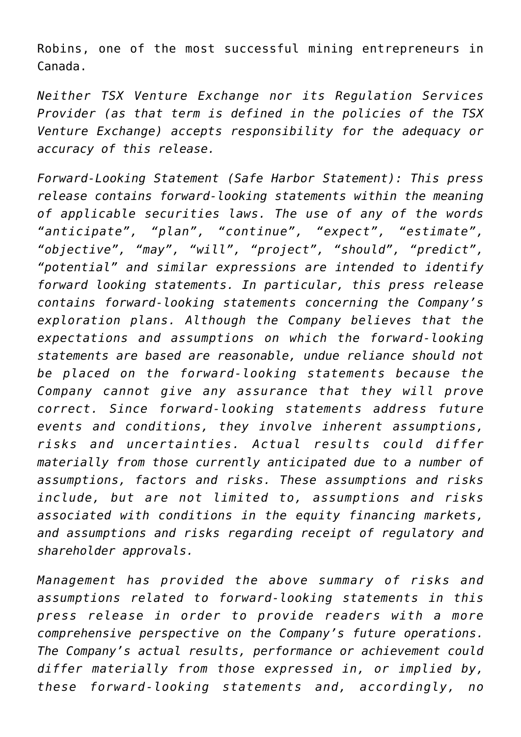Robins, one of the most successful mining entrepreneurs in Canada.

*Neither TSX Venture Exchange nor its Regulation Services Provider (as that term is defined in the policies of the TSX Venture Exchange) accepts responsibility for the adequacy or accuracy of this release.*

*Forward-Looking Statement (Safe Harbor Statement): This press release contains forward-looking statements within the meaning of applicable securities laws. The use of any of the words "anticipate", "plan", "continue", "expect", "estimate", "objective", "may", "will", "project", "should", "predict", "potential" and similar expressions are intended to identify forward looking statements. In particular, this press release contains forward-looking statements concerning the Company's exploration plans. Although the Company believes that the expectations and assumptions on which the forward-looking statements are based are reasonable, undue reliance should not be placed on the forward-looking statements because the Company cannot give any assurance that they will prove correct. Since forward-looking statements address future events and conditions, they involve inherent assumptions, risks and uncertainties. Actual results could differ materially from those currently anticipated due to a number of assumptions, factors and risks. These assumptions and risks include, but are not limited to, assumptions and risks associated with conditions in the equity financing markets, and assumptions and risks regarding receipt of regulatory and shareholder approvals.*

*Management has provided the above summary of risks and assumptions related to forward-looking statements in this press release in order to provide readers with a more comprehensive perspective on the Company's future operations. The Company's actual results, performance or achievement could differ materially from those expressed in, or implied by, these forward-looking statements and, accordingly, no*